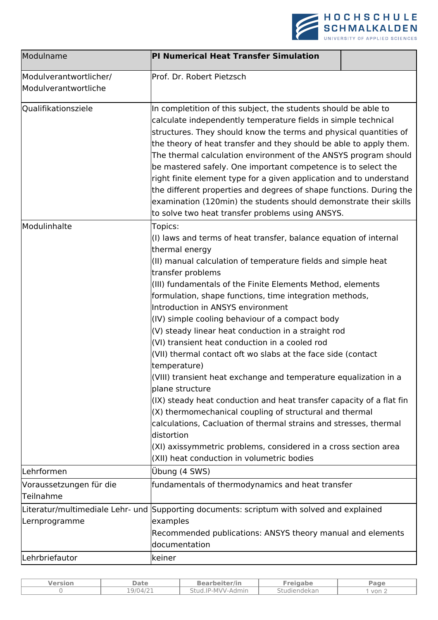

| Modulname                                      | <b>PI Numerical Heat Transfer Simulation</b>                                                                                                                                                                                                                                                                                                                                                                                                                                                                                                                                                                                                                                                                                                                                                                                                                                                                                                                                                                                 |  |  |  |
|------------------------------------------------|------------------------------------------------------------------------------------------------------------------------------------------------------------------------------------------------------------------------------------------------------------------------------------------------------------------------------------------------------------------------------------------------------------------------------------------------------------------------------------------------------------------------------------------------------------------------------------------------------------------------------------------------------------------------------------------------------------------------------------------------------------------------------------------------------------------------------------------------------------------------------------------------------------------------------------------------------------------------------------------------------------------------------|--|--|--|
| Modulverantwortlicher/<br>Modulverantwortliche | Prof. Dr. Robert Pietzsch                                                                                                                                                                                                                                                                                                                                                                                                                                                                                                                                                                                                                                                                                                                                                                                                                                                                                                                                                                                                    |  |  |  |
| Qualifikationsziele                            | In completition of this subject, the students should be able to<br>calculate independently temperature fields in simple technical<br>structures. They should know the terms and physical quantities of<br>the theory of heat transfer and they should be able to apply them.<br>The thermal calculation environment of the ANSYS program should<br>be mastered safely. One important competence is to select the<br>right finite element type for a given application and to understand<br>the different properties and degrees of shape functions. During the<br>examination (120min) the students should demonstrate their skills<br>to solve two heat transfer problems using ANSYS.                                                                                                                                                                                                                                                                                                                                      |  |  |  |
| Modulinhalte                                   | Topics:<br>(I) laws and terms of heat transfer, balance equation of internal<br>thermal energy<br>(II) manual calculation of temperature fields and simple heat<br>transfer problems<br>(III) fundamentals of the Finite Elements Method, elements<br>formulation, shape functions, time integration methods,<br>Introduction in ANSYS environment<br>(IV) simple cooling behaviour of a compact body<br>(V) steady linear heat conduction in a straight rod<br>(VI) transient heat conduction in a cooled rod<br>(VII) thermal contact oft wo slabs at the face side (contact<br>temperature)<br>(VIII) transient heat exchange and temperature equalization in a<br>plane structure<br>(IX) steady heat conduction and heat transfer capacity of a flat fin<br>(X) thermomechanical coupling of structural and thermal<br>calculations, Cacluation of thermal strains and stresses, thermal<br>distortion<br>(XI) axissymmetric problems, considered in a cross section area<br>(XII) heat conduction in volumetric bodies |  |  |  |
| Lehrformen                                     | Übung (4 SWS)                                                                                                                                                                                                                                                                                                                                                                                                                                                                                                                                                                                                                                                                                                                                                                                                                                                                                                                                                                                                                |  |  |  |
| Voraussetzungen für die<br>Teilnahme           | fundamentals of thermodynamics and heat transfer                                                                                                                                                                                                                                                                                                                                                                                                                                                                                                                                                                                                                                                                                                                                                                                                                                                                                                                                                                             |  |  |  |
| Lernprogramme                                  | Literatur/multimediale Lehr- und Supporting documents: scriptum with solved and explained<br>examples<br>Recommended publications: ANSYS theory manual and elements<br>documentation                                                                                                                                                                                                                                                                                                                                                                                                                                                                                                                                                                                                                                                                                                                                                                                                                                         |  |  |  |
| Lehrbriefautor                                 | keiner                                                                                                                                                                                                                                                                                                                                                                                                                                                                                                                                                                                                                                                                                                                                                                                                                                                                                                                                                                                                                       |  |  |  |

| Version | <b>Date</b> | <b>Bearbeiter/in</b> | Freigabe     | Page                    |
|---------|-------------|----------------------|--------------|-------------------------|
|         | 19/04/21    | Stud.IP-MVV-Admin    | Studiendekan | $\sqrt{2}$ von $\angle$ |